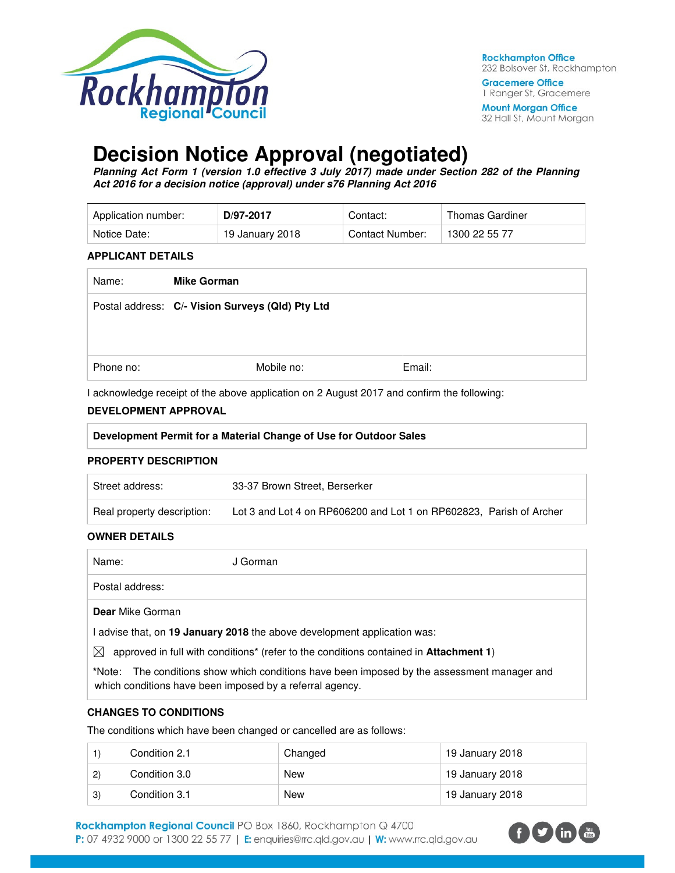

**Rockhampton Office** 232 Bolsover St, Rockhampton

**Gracemere Office** 1 Ranger St, Gracemere

**Mount Morgan Office** 32 Hall St, Mount Morgan

# **Decision Notice Approval (negotiated)**

**Planning Act Form 1 (version 1.0 effective 3 July 2017) made under Section 282 of the Planning Act 2016 for a decision notice (approval) under s76 Planning Act 2016** 

| Application number: | D/97-2017       | Contact:        | Thomas Gardiner |
|---------------------|-----------------|-----------------|-----------------|
| Notice Date:        | 19 January 2018 | Contact Number: | 1300 22 55 77   |

#### **APPLICANT DETAILS**

| Name:     | <b>Mike Gorman</b>                               |        |
|-----------|--------------------------------------------------|--------|
|           | Postal address: C/- Vision Surveys (Qld) Pty Ltd |        |
| Phone no: | Mobile no:                                       | Email: |

I acknowledge receipt of the above application on 2 August 2017 and confirm the following:

## **DEVELOPMENT APPROVAL**

#### **PROPERTY DESCRIPTION**

| Street address:            | 33-37 Brown Street, Berserker                                       |  |
|----------------------------|---------------------------------------------------------------------|--|
| Real property description: | Lot 3 and Lot 4 on RP606200 and Lot 1 on RP602823. Parish of Archer |  |

## **OWNER DETAILS**

Name: J Gorman Postal address:

#### **Dear** Mike Gorman

I advise that, on **19 January 2018** the above development application was:

 $\boxtimes$  approved in full with conditions<sup>\*</sup> (refer to the conditions contained in **Attachment 1**)

**\***Note:The conditions show which conditions have been imposed by the assessment manager and which conditions have been imposed by a referral agency.

## **CHANGES TO CONDITIONS**

The conditions which have been changed or cancelled are as follows:

|              | Condition 2.1 | Changed    | 19 January 2018 |
|--------------|---------------|------------|-----------------|
| $\mathbf{2}$ | Condition 3.0 | <b>New</b> | 19 January 2018 |
| 3)           | Condition 3.1 | <b>New</b> | 19 January 2018 |

Rockhampton Regional Council PO Box 1860, Rockhampton Q 4700 P: 07 4932 9000 or 1300 22 55 77 | E: enquiries@rrc.qld.gov.au | W: www.rrc.qld.gov.au

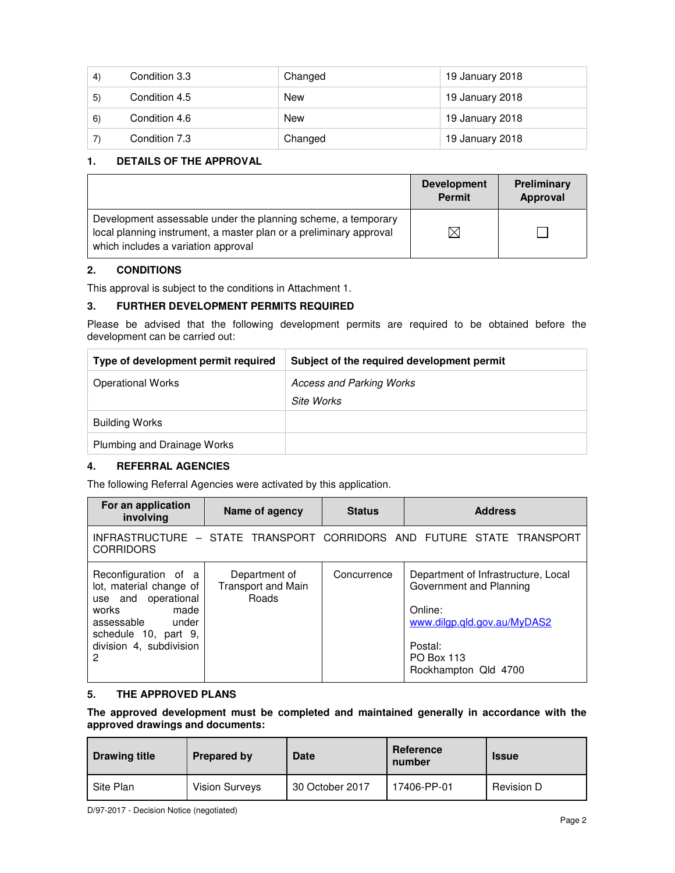| 4) | Condition 3.3 | Changed    | 19 January 2018 |
|----|---------------|------------|-----------------|
| 5) | Condition 4.5 | <b>New</b> | 19 January 2018 |
| 6) | Condition 4.6 | New        | 19 January 2018 |
|    | Condition 7.3 | Changed    | 19 January 2018 |

## **1. DETAILS OF THE APPROVAL**

|                                                                                                                                                                            | <b>Development</b><br><b>Permit</b> | Preliminary<br>Approval |
|----------------------------------------------------------------------------------------------------------------------------------------------------------------------------|-------------------------------------|-------------------------|
| Development assessable under the planning scheme, a temporary<br>local planning instrument, a master plan or a preliminary approval<br>which includes a variation approval | ⊠                                   |                         |

## **2. CONDITIONS**

This approval is subject to the conditions in Attachment 1.

## **3. FURTHER DEVELOPMENT PERMITS REQUIRED**

Please be advised that the following development permits are required to be obtained before the development can be carried out:

| Type of development permit required | Subject of the required development permit |
|-------------------------------------|--------------------------------------------|
| <b>Operational Works</b>            | Access and Parking Works                   |
|                                     | Site Works                                 |
| <b>Building Works</b>               |                                            |
| Plumbing and Drainage Works         |                                            |

## **4. REFERRAL AGENCIES**

The following Referral Agencies were activated by this application.

| For an application<br>involving                                                                                                                                        | Name of agency                                      | <b>Status</b> | <b>Address</b>                                                                                                                                            |
|------------------------------------------------------------------------------------------------------------------------------------------------------------------------|-----------------------------------------------------|---------------|-----------------------------------------------------------------------------------------------------------------------------------------------------------|
| <b>CORRIDORS</b>                                                                                                                                                       |                                                     |               | INFRASTRUCTURE - STATE TRANSPORT CORRIDORS AND FUTURE STATE TRANSPORT                                                                                     |
| Reconfiguration of a<br>lot, material change of<br>use and operational<br>works<br>made<br>assessable<br>under<br>schedule 10, part 9,<br>division 4, subdivision<br>2 | Department of<br><b>Transport and Main</b><br>Roads | Concurrence   | Department of Infrastructure, Local<br>Government and Planning<br>Online:<br>www.dilgp.gld.gov.au/MyDAS2<br>Postal:<br>PO Box 113<br>Rockhampton Qld 4700 |

## **5. THE APPROVED PLANS**

**The approved development must be completed and maintained generally in accordance with the approved drawings and documents:** 

| <b>Drawing title</b> | <b>Prepared by</b>    | <b>Date</b>     | Reference<br>number | <b>Issue</b> |
|----------------------|-----------------------|-----------------|---------------------|--------------|
| Site Plan            | <b>Vision Surveys</b> | 30 October 2017 | 17406-PP-01         | Revision D   |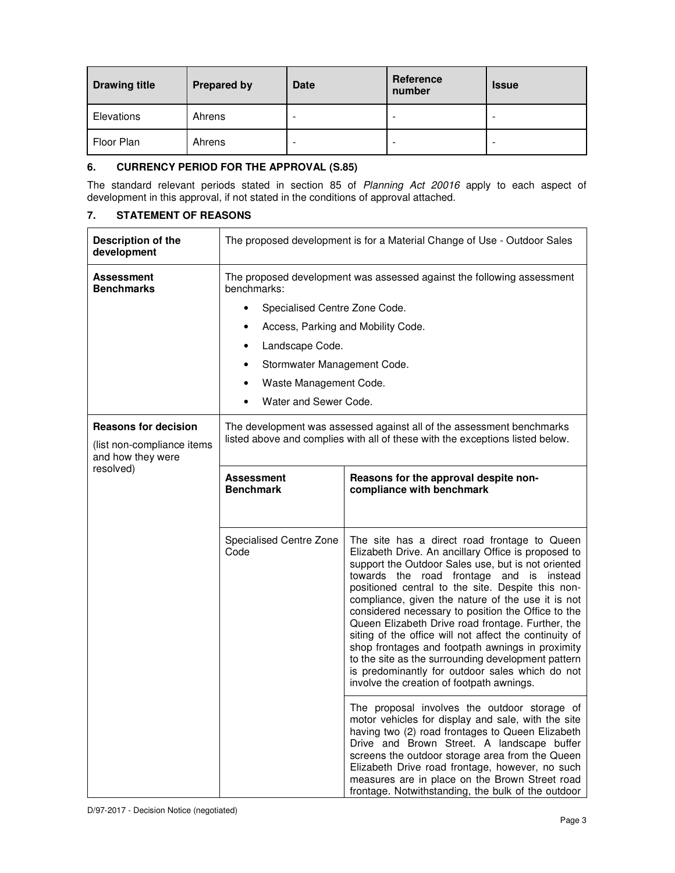| <b>Drawing title</b> | <b>Prepared by</b> | <b>Date</b> | Reference<br>number | <b>Issue</b> |
|----------------------|--------------------|-------------|---------------------|--------------|
| Elevations           | Ahrens             | ۰           |                     |              |
| Floor Plan           | Ahrens             | -           |                     |              |

## **6. CURRENCY PERIOD FOR THE APPROVAL (S.85)**

The standard relevant periods stated in section 85 of Planning Act 20016 apply to each aspect of development in this approval, if not stated in the conditions of approval attached.

## **7. STATEMENT OF REASONS**

| Description of the<br>development                                              | The proposed development is for a Material Change of Use - Outdoor Sales                                                                               |                                                                                                                                                                                                                                                                                                                                                                                                                                                                                                                                                                                                                                                                                                                                                                                                                                                                                                                                                                                                                                                                                                                      |  |
|--------------------------------------------------------------------------------|--------------------------------------------------------------------------------------------------------------------------------------------------------|----------------------------------------------------------------------------------------------------------------------------------------------------------------------------------------------------------------------------------------------------------------------------------------------------------------------------------------------------------------------------------------------------------------------------------------------------------------------------------------------------------------------------------------------------------------------------------------------------------------------------------------------------------------------------------------------------------------------------------------------------------------------------------------------------------------------------------------------------------------------------------------------------------------------------------------------------------------------------------------------------------------------------------------------------------------------------------------------------------------------|--|
| Assessment<br><b>Benchmarks</b>                                                | The proposed development was assessed against the following assessment<br>benchmarks:                                                                  |                                                                                                                                                                                                                                                                                                                                                                                                                                                                                                                                                                                                                                                                                                                                                                                                                                                                                                                                                                                                                                                                                                                      |  |
|                                                                                | Specialised Centre Zone Code.                                                                                                                          |                                                                                                                                                                                                                                                                                                                                                                                                                                                                                                                                                                                                                                                                                                                                                                                                                                                                                                                                                                                                                                                                                                                      |  |
|                                                                                | Access, Parking and Mobility Code.                                                                                                                     |                                                                                                                                                                                                                                                                                                                                                                                                                                                                                                                                                                                                                                                                                                                                                                                                                                                                                                                                                                                                                                                                                                                      |  |
|                                                                                | Landscape Code.                                                                                                                                        |                                                                                                                                                                                                                                                                                                                                                                                                                                                                                                                                                                                                                                                                                                                                                                                                                                                                                                                                                                                                                                                                                                                      |  |
|                                                                                | Stormwater Management Code.                                                                                                                            |                                                                                                                                                                                                                                                                                                                                                                                                                                                                                                                                                                                                                                                                                                                                                                                                                                                                                                                                                                                                                                                                                                                      |  |
|                                                                                | Waste Management Code.                                                                                                                                 |                                                                                                                                                                                                                                                                                                                                                                                                                                                                                                                                                                                                                                                                                                                                                                                                                                                                                                                                                                                                                                                                                                                      |  |
|                                                                                | Water and Sewer Code.                                                                                                                                  |                                                                                                                                                                                                                                                                                                                                                                                                                                                                                                                                                                                                                                                                                                                                                                                                                                                                                                                                                                                                                                                                                                                      |  |
| <b>Reasons for decision</b><br>(list non-compliance items<br>and how they were | The development was assessed against all of the assessment benchmarks<br>listed above and complies with all of these with the exceptions listed below. |                                                                                                                                                                                                                                                                                                                                                                                                                                                                                                                                                                                                                                                                                                                                                                                                                                                                                                                                                                                                                                                                                                                      |  |
| resolved)                                                                      | <b>Assessment</b><br><b>Benchmark</b>                                                                                                                  | Reasons for the approval despite non-<br>compliance with benchmark                                                                                                                                                                                                                                                                                                                                                                                                                                                                                                                                                                                                                                                                                                                                                                                                                                                                                                                                                                                                                                                   |  |
|                                                                                | Specialised Centre Zone<br>Code                                                                                                                        | The site has a direct road frontage to Queen<br>Elizabeth Drive. An ancillary Office is proposed to<br>support the Outdoor Sales use, but is not oriented<br>towards the road frontage and is instead<br>positioned central to the site. Despite this non-<br>compliance, given the nature of the use it is not<br>considered necessary to position the Office to the<br>Queen Elizabeth Drive road frontage. Further, the<br>siting of the office will not affect the continuity of<br>shop frontages and footpath awnings in proximity<br>to the site as the surrounding development pattern<br>is predominantly for outdoor sales which do not<br>involve the creation of footpath awnings.<br>The proposal involves the outdoor storage of<br>motor vehicles for display and sale, with the site<br>having two (2) road frontages to Queen Elizabeth<br>Drive and Brown Street. A landscape buffer<br>screens the outdoor storage area from the Queen<br>Elizabeth Drive road frontage, however, no such<br>measures are in place on the Brown Street road<br>frontage. Notwithstanding, the bulk of the outdoor |  |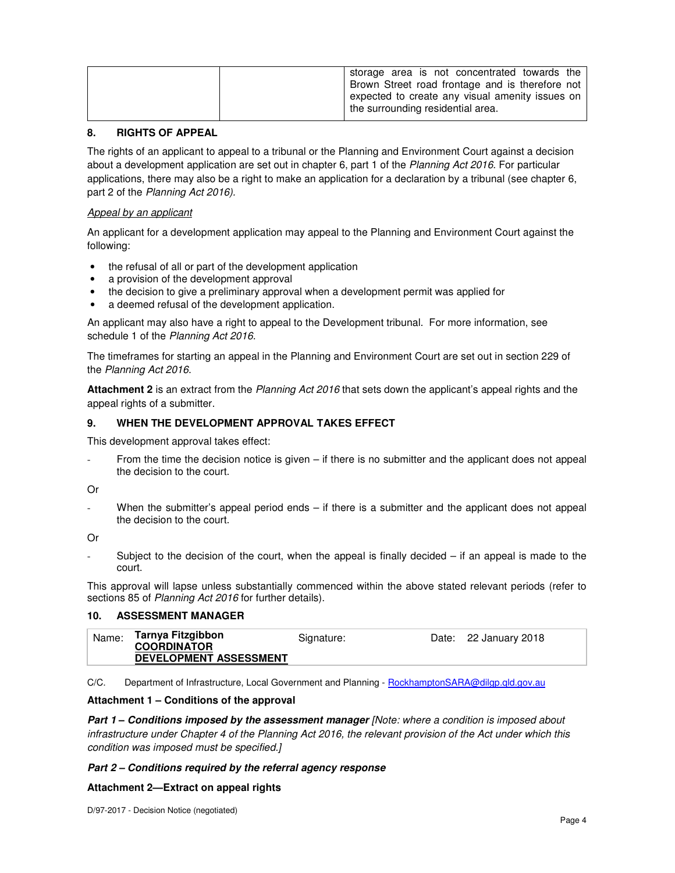| storage area is not concentrated towards the<br>Brown Street road frontage and is therefore not<br>expected to create any visual amenity issues on  <br>the surrounding residential area. |
|-------------------------------------------------------------------------------------------------------------------------------------------------------------------------------------------|
|                                                                                                                                                                                           |

## **8. RIGHTS OF APPEAL**

The rights of an applicant to appeal to a tribunal or the Planning and Environment Court against a decision about a development application are set out in chapter 6, part 1 of the Planning Act 2016. For particular applications, there may also be a right to make an application for a declaration by a tribunal (see chapter 6, part 2 of the Planning Act 2016).

#### Appeal by an applicant

An applicant for a development application may appeal to the Planning and Environment Court against the following:

- the refusal of all or part of the development application
- a provision of the development approval
- the decision to give a preliminary approval when a development permit was applied for
- a deemed refusal of the development application.

An applicant may also have a right to appeal to the Development tribunal. For more information, see schedule 1 of the Planning Act 2016.

The timeframes for starting an appeal in the Planning and Environment Court are set out in section 229 of the Planning Act 2016.

**Attachment 2** is an extract from the Planning Act 2016 that sets down the applicant's appeal rights and the appeal rights of a submitter.

#### **9. WHEN THE DEVELOPMENT APPROVAL TAKES EFFECT**

This development approval takes effect:

From the time the decision notice is given – if there is no submitter and the applicant does not appeal the decision to the court.

Or

When the submitter's appeal period ends  $-$  if there is a submitter and the applicant does not appeal the decision to the court.

Or

Subject to the decision of the court, when the appeal is finally decided  $-$  if an appeal is made to the court.

This approval will lapse unless substantially commenced within the above stated relevant periods (refer to sections 85 of Planning Act 2016 for further details).

## **10. ASSESSMENT MANAGER**

| Name: | Tarnya Fitzgibbon<br><b>COORDINATOR</b> | Signature: | Date: 22 January 2018 |
|-------|-----------------------------------------|------------|-----------------------|
|       | <b>DEVELOPMENT ASSESSMENT</b>           |            |                       |

C/C. Department of Infrastructure, Local Government and Planning - RockhamptonSARA@dilgp.qld.gov.au

## **Attachment 1 – Conditions of the approval**

**Part 1 – Conditions imposed by the assessment manager** [Note: where a condition is imposed about infrastructure under Chapter 4 of the Planning Act 2016, the relevant provision of the Act under which this condition was imposed must be specified.]

## **Part 2 – Conditions required by the referral agency response**

## **Attachment 2—Extract on appeal rights**

D/97-2017 - Decision Notice (negotiated)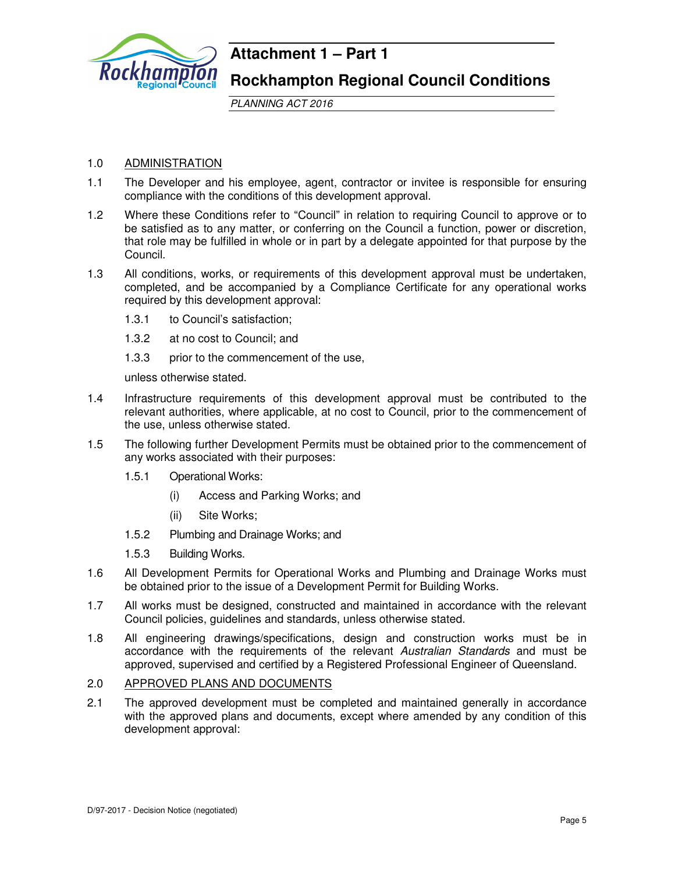

## **Attachment 1 – Part 1**

**Rockhampton Regional Council Conditions**

PLANNING ACT 2016

## 1.0 ADMINISTRATION

- 1.1 The Developer and his employee, agent, contractor or invitee is responsible for ensuring compliance with the conditions of this development approval.
- 1.2 Where these Conditions refer to "Council" in relation to requiring Council to approve or to be satisfied as to any matter, or conferring on the Council a function, power or discretion, that role may be fulfilled in whole or in part by a delegate appointed for that purpose by the Council.
- 1.3 All conditions, works, or requirements of this development approval must be undertaken, completed, and be accompanied by a Compliance Certificate for any operational works required by this development approval:
	- 1.3.1 to Council's satisfaction;
	- 1.3.2 at no cost to Council; and
	- 1.3.3 prior to the commencement of the use,

unless otherwise stated.

- 1.4 Infrastructure requirements of this development approval must be contributed to the relevant authorities, where applicable, at no cost to Council, prior to the commencement of the use, unless otherwise stated.
- 1.5 The following further Development Permits must be obtained prior to the commencement of any works associated with their purposes:
	- 1.5.1 Operational Works:
		- (i) Access and Parking Works; and
		- (ii) Site Works;
	- 1.5.2 Plumbing and Drainage Works; and
	- 1.5.3 Building Works.
- 1.6 All Development Permits for Operational Works and Plumbing and Drainage Works must be obtained prior to the issue of a Development Permit for Building Works.
- 1.7 All works must be designed, constructed and maintained in accordance with the relevant Council policies, guidelines and standards, unless otherwise stated.
- 1.8 All engineering drawings/specifications, design and construction works must be in accordance with the requirements of the relevant Australian Standards and must be approved, supervised and certified by a Registered Professional Engineer of Queensland.

## 2.0 APPROVED PLANS AND DOCUMENTS

2.1 The approved development must be completed and maintained generally in accordance with the approved plans and documents, except where amended by any condition of this development approval: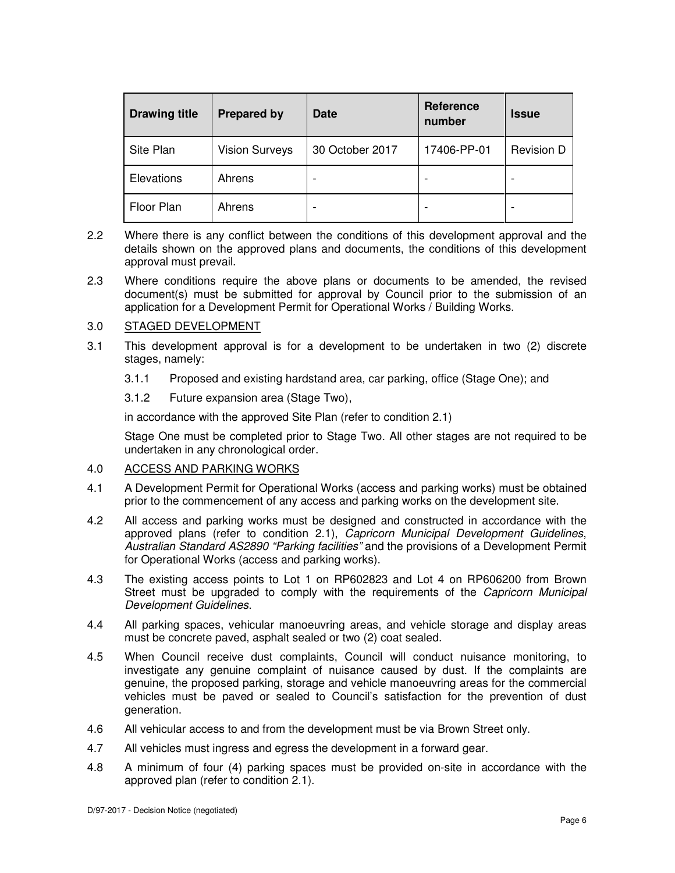| <b>Drawing title</b> | <b>Prepared by</b>    | <b>Date</b>     | <b>Reference</b><br>number | <b>Issue</b>      |
|----------------------|-----------------------|-----------------|----------------------------|-------------------|
| Site Plan            | <b>Vision Surveys</b> | 30 October 2017 | 17406-PP-01                | <b>Revision D</b> |
| Elevations           | Ahrens                |                 |                            |                   |
| Floor Plan           | Ahrens                |                 |                            |                   |

- 2.2 Where there is any conflict between the conditions of this development approval and the details shown on the approved plans and documents, the conditions of this development approval must prevail.
- 2.3 Where conditions require the above plans or documents to be amended, the revised document(s) must be submitted for approval by Council prior to the submission of an application for a Development Permit for Operational Works / Building Works.

## 3.0 STAGED DEVELOPMENT

- 3.1 This development approval is for a development to be undertaken in two (2) discrete stages, namely:
	- 3.1.1 Proposed and existing hardstand area, car parking, office (Stage One); and
	- 3.1.2 Future expansion area (Stage Two),

in accordance with the approved Site Plan (refer to condition 2.1)

Stage One must be completed prior to Stage Two. All other stages are not required to be undertaken in any chronological order.

#### 4.0 ACCESS AND PARKING WORKS

- 4.1 A Development Permit for Operational Works (access and parking works) must be obtained prior to the commencement of any access and parking works on the development site.
- 4.2 All access and parking works must be designed and constructed in accordance with the approved plans (refer to condition 2.1), Capricorn Municipal Development Guidelines, Australian Standard AS2890 "Parking facilities" and the provisions of a Development Permit for Operational Works (access and parking works).
- 4.3 The existing access points to Lot 1 on RP602823 and Lot 4 on RP606200 from Brown Street must be upgraded to comply with the requirements of the Capricorn Municipal Development Guidelines.
- 4.4 All parking spaces, vehicular manoeuvring areas, and vehicle storage and display areas must be concrete paved, asphalt sealed or two (2) coat sealed.
- 4.5 When Council receive dust complaints, Council will conduct nuisance monitoring, to investigate any genuine complaint of nuisance caused by dust. If the complaints are genuine, the proposed parking, storage and vehicle manoeuvring areas for the commercial vehicles must be paved or sealed to Council's satisfaction for the prevention of dust generation.
- 4.6 All vehicular access to and from the development must be via Brown Street only.
- 4.7 All vehicles must ingress and egress the development in a forward gear.
- 4.8 A minimum of four (4) parking spaces must be provided on-site in accordance with the approved plan (refer to condition 2.1).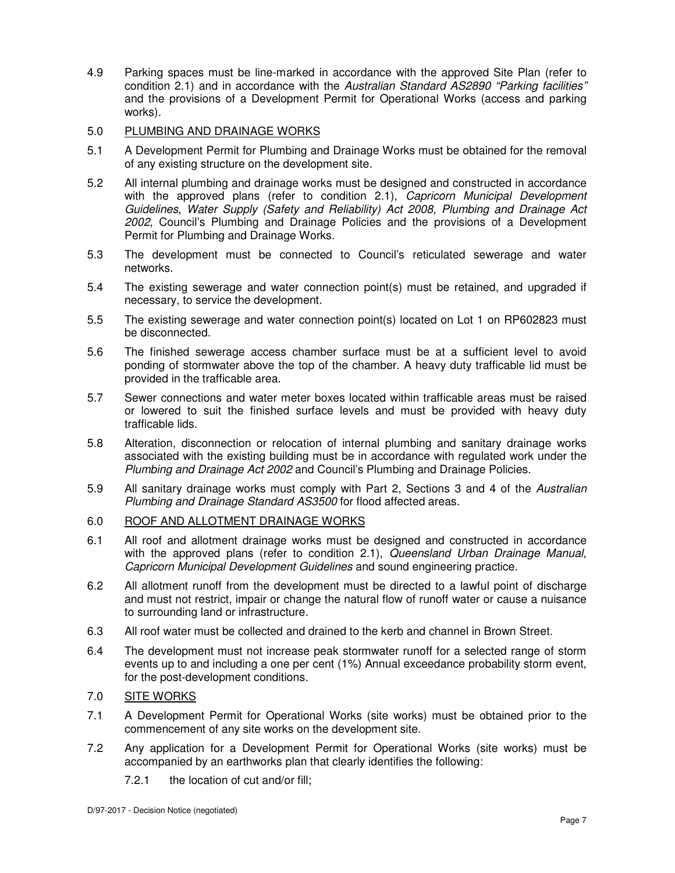4.9 Parking spaces must be line-marked in accordance with the approved Site Plan (refer to condition 2.1) and in accordance with the Australian Standard AS2890 "Parking facilities" and the provisions of a Development Permit for Operational Works (access and parking works).

## 5.0 PLUMBING AND DRAINAGE WORKS

- 5.1 A Development Permit for Plumbing and Drainage Works must be obtained for the removal of any existing structure on the development site.
- 5.2 All internal plumbing and drainage works must be designed and constructed in accordance with the approved plans (refer to condition 2.1), Capricorn Municipal Development Guidelines, Water Supply (Safety and Reliability) Act 2008, Plumbing and Drainage Act 2002, Council's Plumbing and Drainage Policies and the provisions of a Development Permit for Plumbing and Drainage Works.
- 5.3 The development must be connected to Council's reticulated sewerage and water networks.
- 5.4 The existing sewerage and water connection point(s) must be retained, and upgraded if necessary, to service the development.
- 5.5 The existing sewerage and water connection point(s) located on Lot 1 on RP602823 must be disconnected.
- 5.6 The finished sewerage access chamber surface must be at a sufficient level to avoid ponding of stormwater above the top of the chamber. A heavy duty trafficable lid must be provided in the trafficable area.
- 5.7 Sewer connections and water meter boxes located within trafficable areas must be raised or lowered to suit the finished surface levels and must be provided with heavy duty trafficable lids.
- 5.8 Alteration, disconnection or relocation of internal plumbing and sanitary drainage works associated with the existing building must be in accordance with regulated work under the Plumbing and Drainage Act 2002 and Council's Plumbing and Drainage Policies.
- 5.9 All sanitary drainage works must comply with Part 2, Sections 3 and 4 of the Australian Plumbing and Drainage Standard AS3500 for flood affected areas.

## 6.0 ROOF AND ALLOTMENT DRAINAGE WORKS

- 6.1 All roof and allotment drainage works must be designed and constructed in accordance with the approved plans (refer to condition 2.1), Queensland Urban Drainage Manual, Capricorn Municipal Development Guidelines and sound engineering practice.
- 6.2 All allotment runoff from the development must be directed to a lawful point of discharge and must not restrict, impair or change the natural flow of runoff water or cause a nuisance to surrounding land or infrastructure.
- 6.3 All roof water must be collected and drained to the kerb and channel in Brown Street.
- 6.4 The development must not increase peak stormwater runoff for a selected range of storm events up to and including a one per cent (1%) Annual exceedance probability storm event, for the post-development conditions.

## 7.0 SITE WORKS

- 7.1 A Development Permit for Operational Works (site works) must be obtained prior to the commencement of any site works on the development site.
- 7.2 Any application for a Development Permit for Operational Works (site works) must be accompanied by an earthworks plan that clearly identifies the following:
	- 7.2.1 the location of cut and/or fill;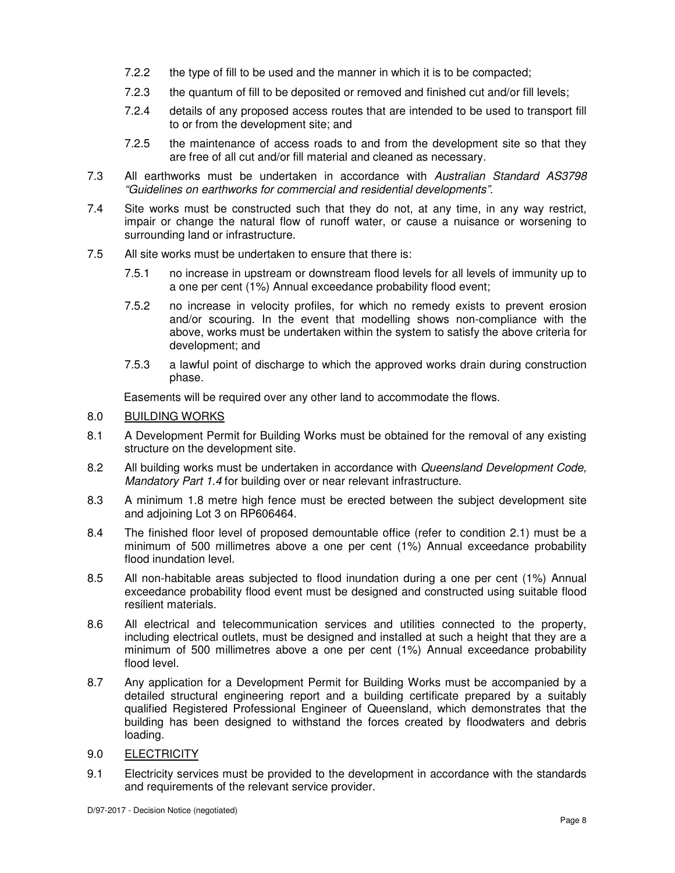- 7.2.2 the type of fill to be used and the manner in which it is to be compacted;
- 7.2.3 the quantum of fill to be deposited or removed and finished cut and/or fill levels;
- 7.2.4 details of any proposed access routes that are intended to be used to transport fill to or from the development site; and
- 7.2.5 the maintenance of access roads to and from the development site so that they are free of all cut and/or fill material and cleaned as necessary.
- 7.3 All earthworks must be undertaken in accordance with Australian Standard AS3798 "Guidelines on earthworks for commercial and residential developments".
- 7.4 Site works must be constructed such that they do not, at any time, in any way restrict, impair or change the natural flow of runoff water, or cause a nuisance or worsening to surrounding land or infrastructure.
- 7.5 All site works must be undertaken to ensure that there is:
	- 7.5.1 no increase in upstream or downstream flood levels for all levels of immunity up to a one per cent (1%) Annual exceedance probability flood event;
	- 7.5.2 no increase in velocity profiles, for which no remedy exists to prevent erosion and/or scouring. In the event that modelling shows non-compliance with the above, works must be undertaken within the system to satisfy the above criteria for development; and
	- 7.5.3 a lawful point of discharge to which the approved works drain during construction phase.

Easements will be required over any other land to accommodate the flows.

## 8.0 BUILDING WORKS

- 8.1 A Development Permit for Building Works must be obtained for the removal of any existing structure on the development site.
- 8.2 All building works must be undertaken in accordance with Queensland Development Code, Mandatory Part 1.4 for building over or near relevant infrastructure.
- 8.3 A minimum 1.8 metre high fence must be erected between the subject development site and adjoining Lot 3 on RP606464.
- 8.4 The finished floor level of proposed demountable office (refer to condition 2.1) must be a minimum of 500 millimetres above a one per cent (1%) Annual exceedance probability flood inundation level.
- 8.5 All non-habitable areas subjected to flood inundation during a one per cent (1%) Annual exceedance probability flood event must be designed and constructed using suitable flood resilient materials.
- 8.6 All electrical and telecommunication services and utilities connected to the property, including electrical outlets, must be designed and installed at such a height that they are a minimum of 500 millimetres above a one per cent (1%) Annual exceedance probability flood level.
- 8.7 Any application for a Development Permit for Building Works must be accompanied by a detailed structural engineering report and a building certificate prepared by a suitably qualified Registered Professional Engineer of Queensland, which demonstrates that the building has been designed to withstand the forces created by floodwaters and debris loading.
- 9.0 ELECTRICITY
- 9.1 Electricity services must be provided to the development in accordance with the standards and requirements of the relevant service provider.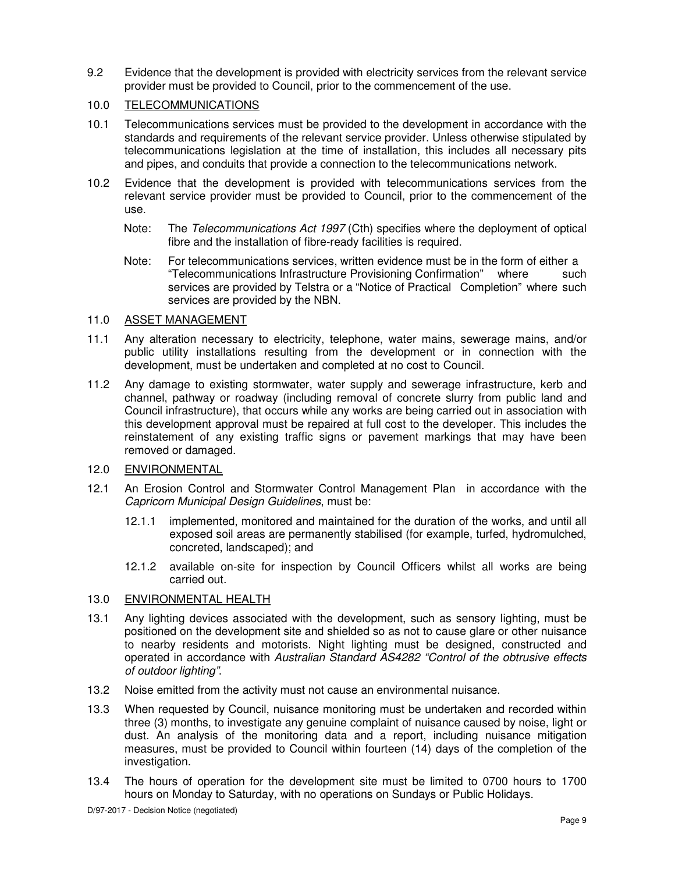9.2 Evidence that the development is provided with electricity services from the relevant service provider must be provided to Council, prior to the commencement of the use.

## 10.0 TELECOMMUNICATIONS

- 10.1 Telecommunications services must be provided to the development in accordance with the standards and requirements of the relevant service provider. Unless otherwise stipulated by telecommunications legislation at the time of installation, this includes all necessary pits and pipes, and conduits that provide a connection to the telecommunications network.
- 10.2 Evidence that the development is provided with telecommunications services from the relevant service provider must be provided to Council, prior to the commencement of the use.
	- Note: The Telecommunications Act 1997 (Cth) specifies where the deployment of optical fibre and the installation of fibre-ready facilities is required.
	- Note: For telecommunications services, written evidence must be in the form of either a "Telecommunications Infrastructure Provisioning Confirmation" where such services are provided by Telstra or a "Notice of Practical Completion" where such services are provided by the NBN.

## 11.0 ASSET MANAGEMENT

- 11.1 Any alteration necessary to electricity, telephone, water mains, sewerage mains, and/or public utility installations resulting from the development or in connection with the development, must be undertaken and completed at no cost to Council.
- 11.2 Any damage to existing stormwater, water supply and sewerage infrastructure, kerb and channel, pathway or roadway (including removal of concrete slurry from public land and Council infrastructure), that occurs while any works are being carried out in association with this development approval must be repaired at full cost to the developer. This includes the reinstatement of any existing traffic signs or pavement markings that may have been removed or damaged.

## 12.0 ENVIRONMENTAL

- 12.1 An Erosion Control and Stormwater Control Management Plan in accordance with the Capricorn Municipal Design Guidelines, must be:
	- 12.1.1 implemented, monitored and maintained for the duration of the works, and until all exposed soil areas are permanently stabilised (for example, turfed, hydromulched, concreted, landscaped); and
	- 12.1.2 available on-site for inspection by Council Officers whilst all works are being carried out.

## 13.0 ENVIRONMENTAL HEALTH

- 13.1 Any lighting devices associated with the development, such as sensory lighting, must be positioned on the development site and shielded so as not to cause glare or other nuisance to nearby residents and motorists. Night lighting must be designed, constructed and operated in accordance with Australian Standard AS4282 "Control of the obtrusive effects of outdoor lighting".
- 13.2 Noise emitted from the activity must not cause an environmental nuisance.
- 13.3 When requested by Council, nuisance monitoring must be undertaken and recorded within three (3) months, to investigate any genuine complaint of nuisance caused by noise, light or dust. An analysis of the monitoring data and a report, including nuisance mitigation measures, must be provided to Council within fourteen (14) days of the completion of the investigation.
- 13.4 The hours of operation for the development site must be limited to 0700 hours to 1700 hours on Monday to Saturday, with no operations on Sundays or Public Holidays.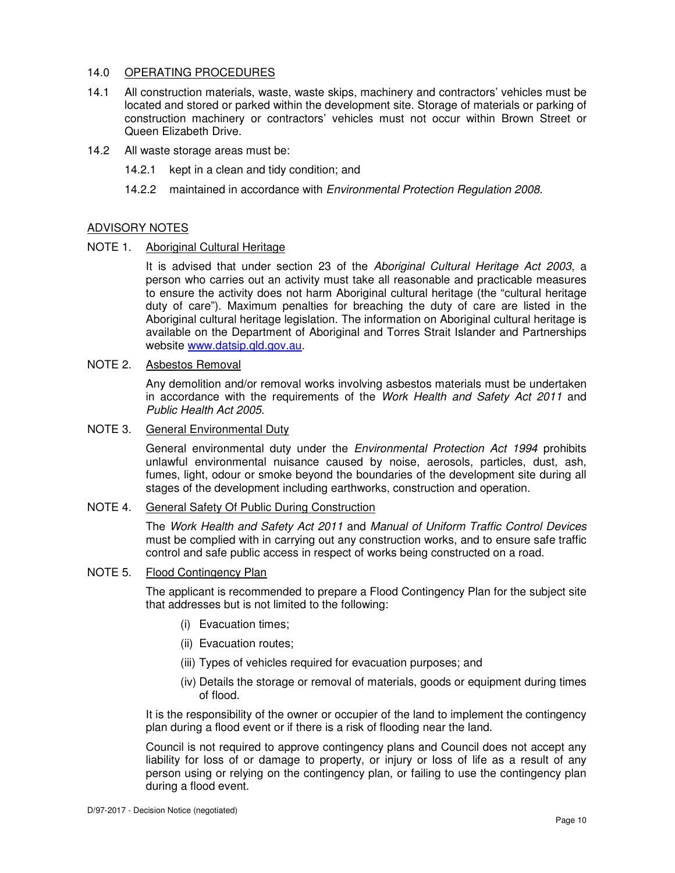## 14.0 OPERATING PROCEDURES

- 14.1 All construction materials, waste, waste skips, machinery and contractors' vehicles must be located and stored or parked within the development site. Storage of materials or parking of construction machinery or contractors' vehicles must not occur within Brown Street or Queen Elizabeth Drive.
- 14.2 All waste storage areas must be:
	- 14.2.1 kept in a clean and tidy condition; and
	- 14.2.2 maintained in accordance with *Environmental Protection Regulation 2008*.

## ADVISORY NOTES

NOTE 1. Aboriginal Cultural Heritage

It is advised that under section 23 of the Aboriginal Cultural Heritage Act 2003, a person who carries out an activity must take all reasonable and practicable measures to ensure the activity does not harm Aboriginal cultural heritage (the "cultural heritage duty of care"). Maximum penalties for breaching the duty of care are listed in the Aboriginal cultural heritage legislation. The information on Aboriginal cultural heritage is available on the Department of Aboriginal and Torres Strait Islander and Partnerships website www.datsip.qld.gov.au.

## NOTE 2. Asbestos Removal

Any demolition and/or removal works involving asbestos materials must be undertaken in accordance with the requirements of the Work Health and Safety Act 2011 and Public Health Act 2005.

## NOTE 3. General Environmental Duty

General environmental duty under the Environmental Protection Act 1994 prohibits unlawful environmental nuisance caused by noise, aerosols, particles, dust, ash, fumes, light, odour or smoke beyond the boundaries of the development site during all stages of the development including earthworks, construction and operation.

## NOTE 4. General Safety Of Public During Construction

The Work Health and Safety Act 2011 and Manual of Uniform Traffic Control Devices must be complied with in carrying out any construction works, and to ensure safe traffic control and safe public access in respect of works being constructed on a road.

## NOTE 5. Flood Contingency Plan

The applicant is recommended to prepare a Flood Contingency Plan for the subject site that addresses but is not limited to the following:

- (i) Evacuation times;
- (ii) Evacuation routes;
- (iii) Types of vehicles required for evacuation purposes; and
- (iv) Details the storage or removal of materials, goods or equipment during times of flood.

It is the responsibility of the owner or occupier of the land to implement the contingency plan during a flood event or if there is a risk of flooding near the land.

Council is not required to approve contingency plans and Council does not accept any liability for loss of or damage to property, or injury or loss of life as a result of any person using or relying on the contingency plan, or failing to use the contingency plan during a flood event.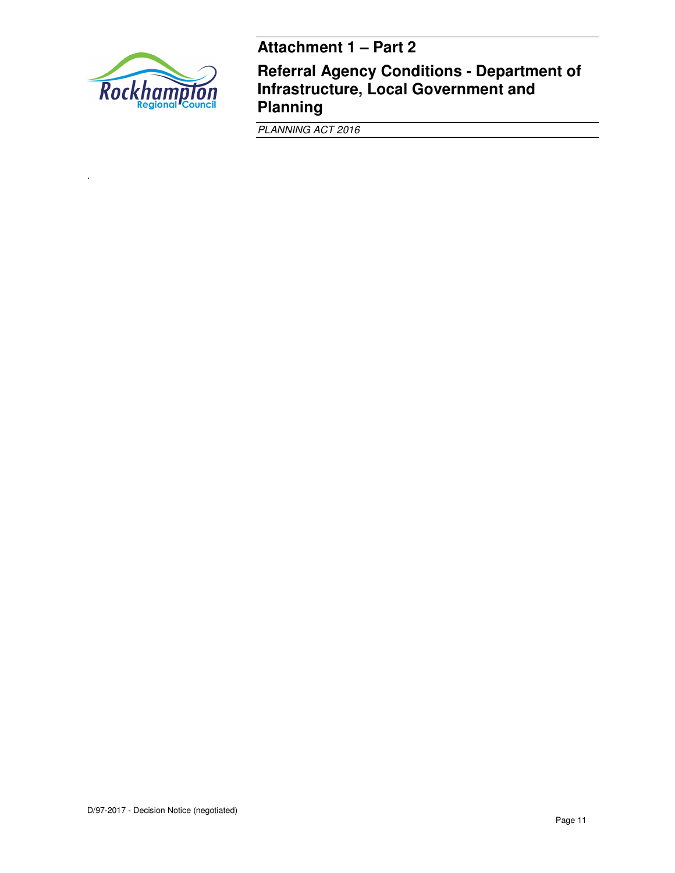

.

**Referral Agency Conditions - Department of Infrastructure, Local Government and Planning** 

PLANNING ACT 2016

**Attachment 1 – Part 2**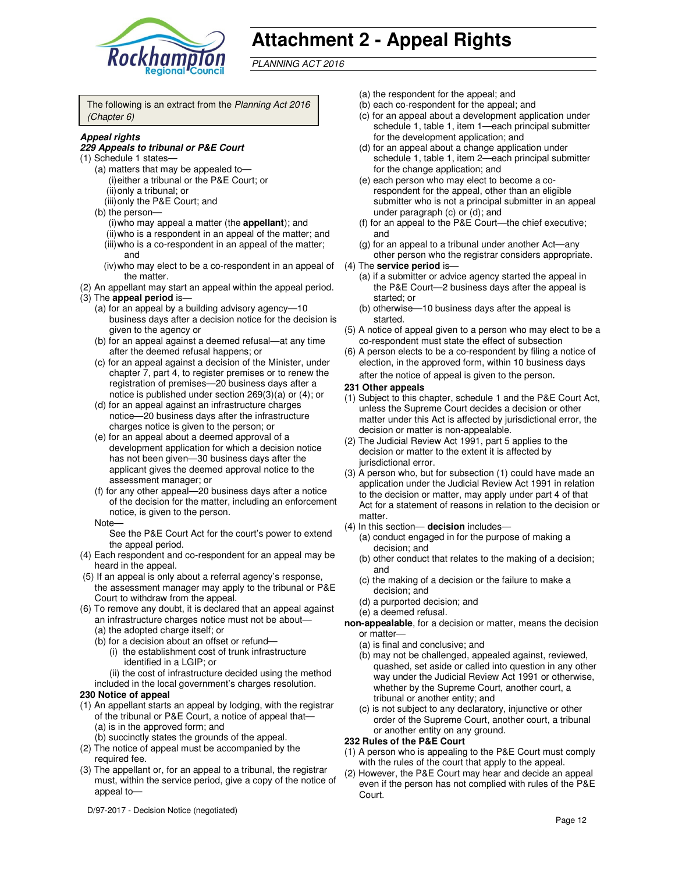

# **Attachment 2 - Appeal Rights**

PLANNING ACT 2016

The following is an extract from the Planning Act 2016 (Chapter 6)

#### **Appeal rights**

#### **229 Appeals to tribunal or P&E Court**

- (1) Schedule 1 states—
	- (a) matters that may be appealed to— (i) either a tribunal or the P&E Court; or (ii) only a tribunal; or
	- (iii) only the P&E Court; and
	- (b) the person—
		- (i) who may appeal a matter (the **appellant**); and
		- (ii) who is a respondent in an appeal of the matter; and (iii) who is a co-respondent in an appeal of the matter; and
		- (iv) who may elect to be a co-respondent in an appeal of the matter.
- (2) An appellant may start an appeal within the appeal period. (3) The **appeal period** is—
	- (a) for an appeal by a building advisory agency—10 business days after a decision notice for the decision is given to the agency or
	- (b) for an appeal against a deemed refusal—at any time after the deemed refusal happens; or
	- (c) for an appeal against a decision of the Minister, under chapter 7, part 4, to register premises or to renew the registration of premises—20 business days after a notice is published under section 269(3)(a) or (4); or
	- (d) for an appeal against an infrastructure charges notice—20 business days after the infrastructure charges notice is given to the person; or
	- (e) for an appeal about a deemed approval of a development application for which a decision notice has not been given—30 business days after the applicant gives the deemed approval notice to the assessment manager; or
	- (f) for any other appeal—20 business days after a notice of the decision for the matter, including an enforcement notice, is given to the person.
	- Note—

See the P&E Court Act for the court's power to extend the appeal period.

- (4) Each respondent and co-respondent for an appeal may be heard in the appeal.
- (5) If an appeal is only about a referral agency's response, the assessment manager may apply to the tribunal or P&E Court to withdraw from the appeal.
- (6) To remove any doubt, it is declared that an appeal against an infrastructure charges notice must not be about— (a) the adopted charge itself; or
	- (b) for a decision about an offset or refund—
		- (i) the establishment cost of trunk infrastructure identified in a LGIP; or
		- (ii) the cost of infrastructure decided using the method
	- included in the local government's charges resolution.

#### **230 Notice of appeal**

- (1) An appellant starts an appeal by lodging, with the registrar of the tribunal or P&E Court, a notice of appeal that— (a) is in the approved form; and
	- (b) succinctly states the grounds of the appeal.
- (2) The notice of appeal must be accompanied by the required fee.
- (3) The appellant or, for an appeal to a tribunal, the registrar must, within the service period, give a copy of the notice of appeal to—

D/97-2017 - Decision Notice (negotiated)

- (a) the respondent for the appeal; and
- (b) each co-respondent for the appeal; and
- (c) for an appeal about a development application under schedule 1, table 1, item 1—each principal submitter for the development application; and
- (d) for an appeal about a change application under schedule 1, table 1, item 2—each principal submitter for the change application; and
- (e) each person who may elect to become a corespondent for the appeal, other than an eligible submitter who is not a principal submitter in an appeal under paragraph (c) or (d); and
- (f) for an appeal to the P&E Court—the chief executive; and
- (g) for an appeal to a tribunal under another Act—any other person who the registrar considers appropriate.
- (4) The **service period** is—
	- (a) if a submitter or advice agency started the appeal in the P&E Court—2 business days after the appeal is started; or
	- (b) otherwise—10 business days after the appeal is started.
- (5) A notice of appeal given to a person who may elect to be a co-respondent must state the effect of subsection
- (6) A person elects to be a co-respondent by filing a notice of election, in the approved form, within 10 business days after the notice of appeal is given to the person*.*

#### **231 Other appeals**

- (1) Subject to this chapter, schedule 1 and the P&E Court Act, unless the Supreme Court decides a decision or other matter under this Act is affected by jurisdictional error, the decision or matter is non-appealable.
- (2) The Judicial Review Act 1991, part 5 applies to the decision or matter to the extent it is affected by jurisdictional error.
- (3) A person who, but for subsection (1) could have made an application under the Judicial Review Act 1991 in relation to the decision or matter, may apply under part 4 of that Act for a statement of reasons in relation to the decision or matter.
- (4) In this section— **decision** includes—
	- (a) conduct engaged in for the purpose of making a decision; and
	- (b) other conduct that relates to the making of a decision; and
	- (c) the making of a decision or the failure to make a decision; and
	- (d) a purported decision; and
	- (e) a deemed refusal.
- **non-appealable**, for a decision or matter, means the decision or matter—
	- (a) is final and conclusive; and
	- (b) may not be challenged, appealed against, reviewed, quashed, set aside or called into question in any other way under the Judicial Review Act 1991 or otherwise, whether by the Supreme Court, another court, a tribunal or another entity; and
	- (c) is not subject to any declaratory, injunctive or other order of the Supreme Court, another court, a tribunal or another entity on any ground.

#### **232 Rules of the P&E Court**

- (1) A person who is appealing to the P&E Court must comply with the rules of the court that apply to the appeal.
- (2) However, the P&E Court may hear and decide an appeal even if the person has not complied with rules of the P&E Court.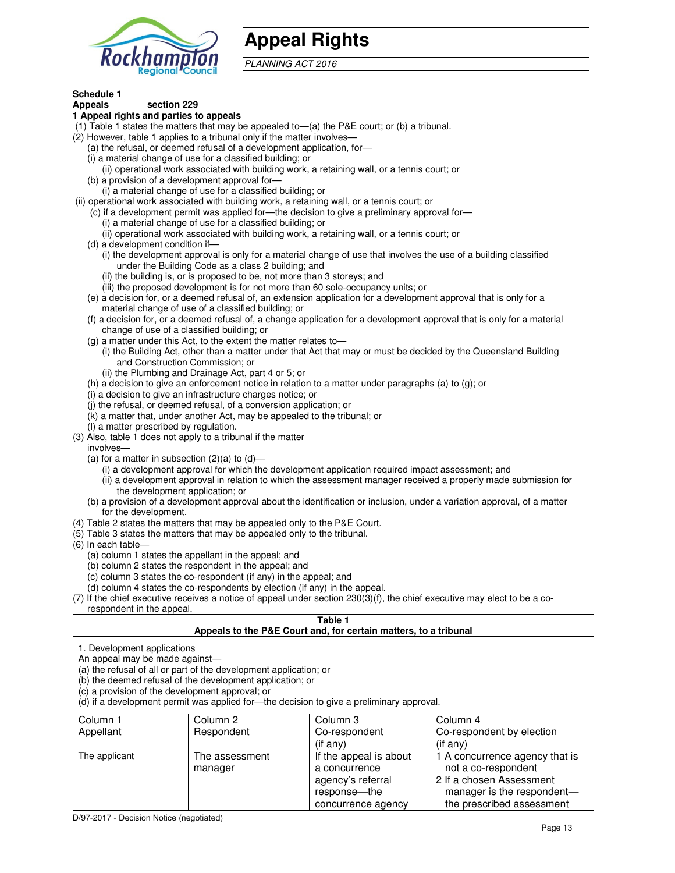

# **Appeal Rights**

PLANNING ACT 2016

## **Schedule 1**

#### **Appeals section 229 1 Appeal rights and parties to appeals**

- (1) Table 1 states the matters that may be appealed to—(a) the P&E court; or (b) a tribunal.
- (2) However, table 1 applies to a tribunal only if the matter involves—
	- (a) the refusal, or deemed refusal of a development application, for—
	- (i) a material change of use for a classified building; or
	- (ii) operational work associated with building work, a retaining wall, or a tennis court; or
	- (b) a provision of a development approval for—
	- (i) a material change of use for a classified building; or
- (ii) operational work associated with building work, a retaining wall, or a tennis court; or
	- (c) if a development permit was applied for—the decision to give a preliminary approval for—
		- (i) a material change of use for a classified building; or
		- (ii) operational work associated with building work, a retaining wall, or a tennis court; or
	- (d) a development condition if—
		- (i) the development approval is only for a material change of use that involves the use of a building classified under the Building Code as a class 2 building; and
		- (ii) the building is, or is proposed to be, not more than 3 storeys; and
		- (iii) the proposed development is for not more than 60 sole-occupancy units; or
	- (e) a decision for, or a deemed refusal of, an extension application for a development approval that is only for a material change of use of a classified building; or
	- (f) a decision for, or a deemed refusal of, a change application for a development approval that is only for a material change of use of a classified building; or
	- (g) a matter under this Act, to the extent the matter relates to—
		- (i) the Building Act, other than a matter under that Act that may or must be decided by the Queensland Building and Construction Commission; or
		- (ii) the Plumbing and Drainage Act, part 4 or 5; or
	- (h) a decision to give an enforcement notice in relation to a matter under paragraphs (a) to (g); or
	- (i) a decision to give an infrastructure charges notice; or
	- (j) the refusal, or deemed refusal, of a conversion application; or
	- (k) a matter that, under another Act, may be appealed to the tribunal; or
	- (l) a matter prescribed by regulation.
- (3) Also, table 1 does not apply to a tribunal if the matter
- involves—
	- (a) for a matter in subsection  $(2)(a)$  to  $(d)$ 
		- (i) a development approval for which the development application required impact assessment; and
		- (ii) a development approval in relation to which the assessment manager received a properly made submission for the development application; or
	- (b) a provision of a development approval about the identification or inclusion, under a variation approval, of a matter for the development.
- (4) Table 2 states the matters that may be appealed only to the P&E Court.
- (5) Table 3 states the matters that may be appealed only to the tribunal.
- (6) In each table—
	- (a) column 1 states the appellant in the appeal; and
	- (b) column 2 states the respondent in the appeal; and
	- (c) column 3 states the co-respondent (if any) in the appeal; and
	- (d) column 4 states the co-respondents by election (if any) in the appeal.
- $(7)$  If the chief executive receives a notice of appeal under section  $230(3)(f)$ , the chief executive may elect to be a corespondent in the appeal.

## **Table 1**

#### **Appeals to the P&E Court and, for certain matters, to a tribunal**

1. Development applications

An appeal may be made against—

(a) the refusal of all or part of the development application; or

(b) the deemed refusal of the development application; or

(c) a provision of the development approval; or

(d) if a development permit was applied for—the decision to give a preliminary approval.

| Column 1      | Column 2                  | Column 3                                                                                           | Column 4                                                                                                                                     |
|---------------|---------------------------|----------------------------------------------------------------------------------------------------|----------------------------------------------------------------------------------------------------------------------------------------------|
| Appellant     | Respondent                | Co-respondent                                                                                      | Co-respondent by election                                                                                                                    |
|               |                           | (if any)                                                                                           | $($ if anv $)$                                                                                                                               |
| The applicant | The assessment<br>manager | If the appeal is about<br>a concurrence<br>agency's referral<br>response—the<br>concurrence agency | 1 A concurrence agency that is<br>not a co-respondent<br>2 If a chosen Assessment<br>manager is the respondent-<br>the prescribed assessment |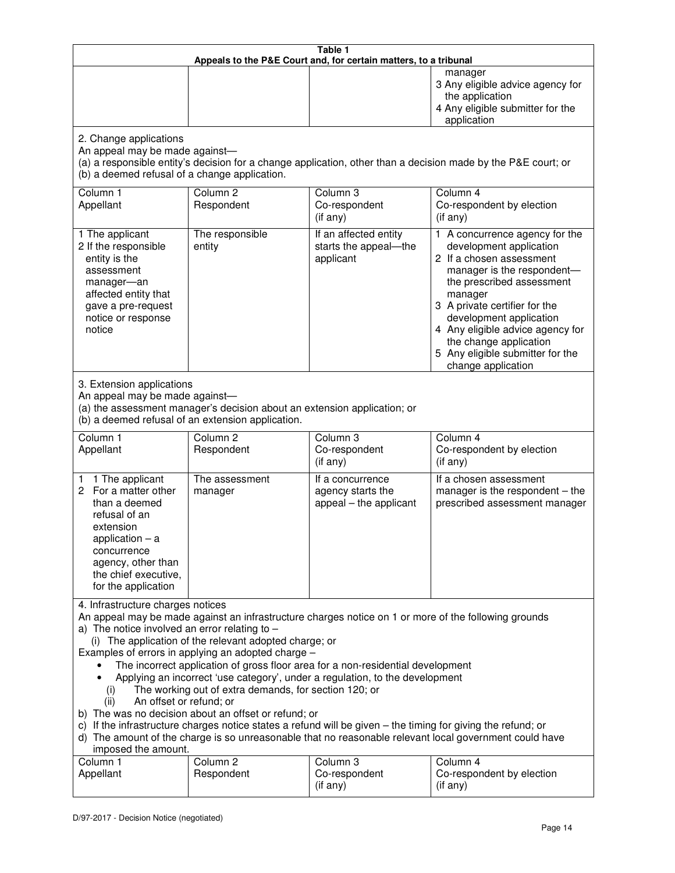| Table 1<br>Appeals to the P&E Court and, for certain matters, to a tribunal                                                                                                                                                                                                                                                                                                                                                                                                                                                                                                                                                                                                                                                                                                                                                                                                                 |                                                                                                                               |                                                                 |                                                                                                                                                                                                                                                                                                                                                 |
|---------------------------------------------------------------------------------------------------------------------------------------------------------------------------------------------------------------------------------------------------------------------------------------------------------------------------------------------------------------------------------------------------------------------------------------------------------------------------------------------------------------------------------------------------------------------------------------------------------------------------------------------------------------------------------------------------------------------------------------------------------------------------------------------------------------------------------------------------------------------------------------------|-------------------------------------------------------------------------------------------------------------------------------|-----------------------------------------------------------------|-------------------------------------------------------------------------------------------------------------------------------------------------------------------------------------------------------------------------------------------------------------------------------------------------------------------------------------------------|
|                                                                                                                                                                                                                                                                                                                                                                                                                                                                                                                                                                                                                                                                                                                                                                                                                                                                                             |                                                                                                                               |                                                                 | manager<br>3 Any eligible advice agency for<br>the application<br>4 Any eligible submitter for the<br>application                                                                                                                                                                                                                               |
| 2. Change applications<br>An appeal may be made against-<br>(b) a deemed refusal of a change application.                                                                                                                                                                                                                                                                                                                                                                                                                                                                                                                                                                                                                                                                                                                                                                                   |                                                                                                                               |                                                                 | (a) a responsible entity's decision for a change application, other than a decision made by the P&E court; or                                                                                                                                                                                                                                   |
| Column 1<br>Appellant                                                                                                                                                                                                                                                                                                                                                                                                                                                                                                                                                                                                                                                                                                                                                                                                                                                                       | Column <sub>2</sub><br>Respondent                                                                                             | Column 3<br>Co-respondent<br>(if any)                           | Column 4<br>Co-respondent by election<br>(if any)                                                                                                                                                                                                                                                                                               |
| 1 The applicant<br>2 If the responsible<br>entity is the<br>assessment<br>manager-an<br>affected entity that<br>gave a pre-request<br>notice or response<br>notice                                                                                                                                                                                                                                                                                                                                                                                                                                                                                                                                                                                                                                                                                                                          | The responsible<br>entity                                                                                                     | If an affected entity<br>starts the appeal-the<br>applicant     | 1 A concurrence agency for the<br>development application<br>2 If a chosen assessment<br>manager is the respondent-<br>the prescribed assessment<br>manager<br>3 A private certifier for the<br>development application<br>4 Any eligible advice agency for<br>the change application<br>5 Any eligible submitter for the<br>change application |
| 3. Extension applications<br>An appeal may be made against-                                                                                                                                                                                                                                                                                                                                                                                                                                                                                                                                                                                                                                                                                                                                                                                                                                 | (a) the assessment manager's decision about an extension application; or<br>(b) a deemed refusal of an extension application. |                                                                 |                                                                                                                                                                                                                                                                                                                                                 |
| Column 1<br>Appellant                                                                                                                                                                                                                                                                                                                                                                                                                                                                                                                                                                                                                                                                                                                                                                                                                                                                       | Column <sub>2</sub><br>Respondent                                                                                             | Column 3<br>Co-respondent<br>(if any)                           | Column 4<br>Co-respondent by election<br>(if any)                                                                                                                                                                                                                                                                                               |
| 1 1 The applicant<br>2 For a matter other<br>than a deemed<br>refusal of an<br>extension<br>application $-$ a<br>concurrence<br>agency, other than<br>the chief executive,<br>for the application                                                                                                                                                                                                                                                                                                                                                                                                                                                                                                                                                                                                                                                                                           | The assessment<br>manager                                                                                                     | If a concurrence<br>agency starts the<br>appeal - the applicant | If a chosen assessment<br>manager is the respondent - the<br>prescribed assessment manager                                                                                                                                                                                                                                                      |
| 4. Infrastructure charges notices<br>An appeal may be made against an infrastructure charges notice on 1 or more of the following grounds<br>a) The notice involved an error relating to $-$<br>(i) The application of the relevant adopted charge; or<br>Examples of errors in applying an adopted charge -<br>The incorrect application of gross floor area for a non-residential development<br>Applying an incorrect 'use category', under a regulation, to the development<br>The working out of extra demands, for section 120; or<br>(i)<br>An offset or refund; or<br>(ii)<br>b) The was no decision about an offset or refund; or<br>c) If the infrastructure charges notice states a refund will be given – the timing for giving the refund; or<br>d) The amount of the charge is so unreasonable that no reasonable relevant local government could have<br>imposed the amount. |                                                                                                                               |                                                                 |                                                                                                                                                                                                                                                                                                                                                 |
| Column 1<br>Appellant                                                                                                                                                                                                                                                                                                                                                                                                                                                                                                                                                                                                                                                                                                                                                                                                                                                                       | Column <sub>2</sub><br>Respondent                                                                                             | Column 3<br>Co-respondent<br>(if any)                           | Column 4<br>Co-respondent by election<br>(if any)                                                                                                                                                                                                                                                                                               |

Ш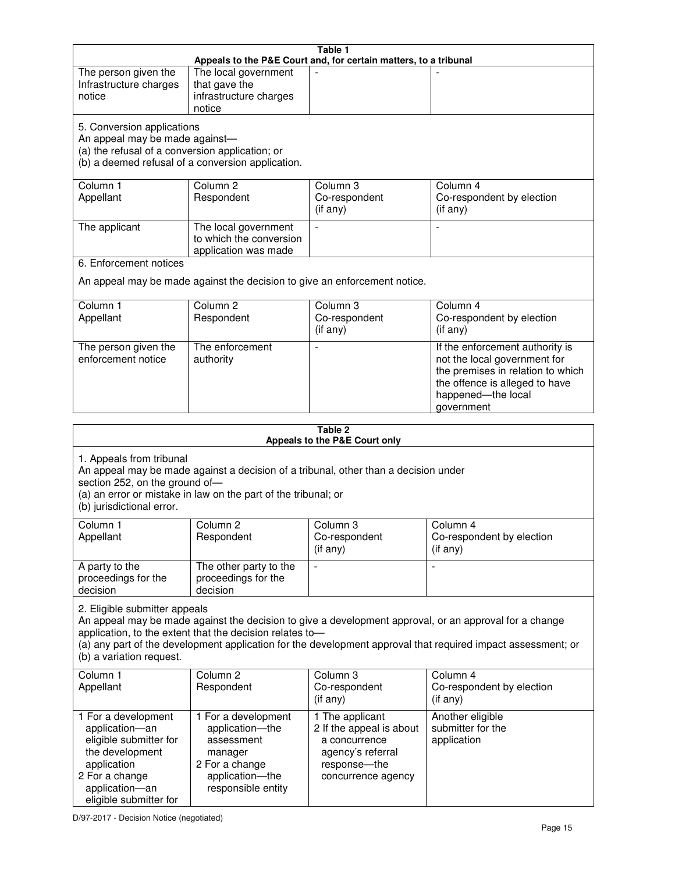| Table 1<br>Appeals to the P&E Court and, for certain matters, to a tribunal                                                                                                                                                                                                                                                                     |                                                                                                                                                                                                                     |                                                                                                                         |                                                                                                                                                                            |  |
|-------------------------------------------------------------------------------------------------------------------------------------------------------------------------------------------------------------------------------------------------------------------------------------------------------------------------------------------------|---------------------------------------------------------------------------------------------------------------------------------------------------------------------------------------------------------------------|-------------------------------------------------------------------------------------------------------------------------|----------------------------------------------------------------------------------------------------------------------------------------------------------------------------|--|
| The person given the<br>Infrastructure charges<br>notice                                                                                                                                                                                                                                                                                        | The local government<br>that gave the<br>infrastructure charges<br>notice                                                                                                                                           |                                                                                                                         |                                                                                                                                                                            |  |
| 5. Conversion applications<br>An appeal may be made against-<br>(a) the refusal of a conversion application; or                                                                                                                                                                                                                                 | (b) a deemed refusal of a conversion application.                                                                                                                                                                   |                                                                                                                         |                                                                                                                                                                            |  |
| Column 1<br>Appellant                                                                                                                                                                                                                                                                                                                           | Column 2<br>Respondent                                                                                                                                                                                              | Column 3<br>Co-respondent<br>(if any)                                                                                   | Column 4<br>Co-respondent by election<br>(if any)                                                                                                                          |  |
| The applicant                                                                                                                                                                                                                                                                                                                                   | The local government<br>to which the conversion<br>application was made                                                                                                                                             | $\blacksquare$                                                                                                          | $\blacksquare$                                                                                                                                                             |  |
| 6. Enforcement notices                                                                                                                                                                                                                                                                                                                          |                                                                                                                                                                                                                     |                                                                                                                         |                                                                                                                                                                            |  |
|                                                                                                                                                                                                                                                                                                                                                 | An appeal may be made against the decision to give an enforcement notice.                                                                                                                                           |                                                                                                                         |                                                                                                                                                                            |  |
| Column 1<br>Appellant                                                                                                                                                                                                                                                                                                                           | Column <sub>2</sub><br>Respondent                                                                                                                                                                                   | Column 3<br>Co-respondent<br>(if any)                                                                                   | Column 4<br>Co-respondent by election<br>(if any)                                                                                                                          |  |
| The person given the<br>enforcement notice                                                                                                                                                                                                                                                                                                      | The enforcement<br>authority                                                                                                                                                                                        | $\overline{a}$                                                                                                          | If the enforcement authority is<br>not the local government for<br>the premises in relation to which<br>the offence is alleged to have<br>happened-the local<br>government |  |
|                                                                                                                                                                                                                                                                                                                                                 |                                                                                                                                                                                                                     | Table 2                                                                                                                 |                                                                                                                                                                            |  |
|                                                                                                                                                                                                                                                                                                                                                 |                                                                                                                                                                                                                     | Appeals to the P&E Court only                                                                                           |                                                                                                                                                                            |  |
| (b) jurisdictional error.                                                                                                                                                                                                                                                                                                                       | 1. Appeals from tribunal<br>An appeal may be made against a decision of a tribunal, other than a decision under<br>section 252, on the ground of-<br>(a) an error or mistake in law on the part of the tribunal; or |                                                                                                                         |                                                                                                                                                                            |  |
| Column <sub>1</sub><br>Appellant                                                                                                                                                                                                                                                                                                                | Column 2<br>Respondent                                                                                                                                                                                              | Column 3<br>Co-respondent<br>(i f any)                                                                                  | Column 4<br>Co-respondent by election<br>$($ if any $)$                                                                                                                    |  |
| A party to the<br>proceedings for the<br>decision                                                                                                                                                                                                                                                                                               | The other party to the<br>proceedings for the<br>decision                                                                                                                                                           | $\overline{a}$                                                                                                          |                                                                                                                                                                            |  |
| 2. Eligible submitter appeals<br>An appeal may be made against the decision to give a development approval, or an approval for a change<br>application, to the extent that the decision relates to-<br>(a) any part of the development application for the development approval that required impact assessment; or<br>(b) a variation request. |                                                                                                                                                                                                                     |                                                                                                                         |                                                                                                                                                                            |  |
| Column 1<br>Appellant                                                                                                                                                                                                                                                                                                                           | Column 2<br>Respondent                                                                                                                                                                                              | Column 3<br>Co-respondent<br>(if any)                                                                                   | Column 4<br>Co-respondent by election<br>(if any)                                                                                                                          |  |
| 1 For a development<br>application-an<br>eligible submitter for<br>the development<br>application<br>2 For a change<br>application-an<br>eligible submitter for                                                                                                                                                                                 | 1 For a development<br>application-the<br>assessment<br>manager<br>2 For a change<br>application-the<br>responsible entity                                                                                          | 1 The applicant<br>2 If the appeal is about<br>a concurrence<br>agency's referral<br>response-the<br>concurrence agency | Another eligible<br>submitter for the<br>application                                                                                                                       |  |

D/97-2017 - Decision Notice (negotiated)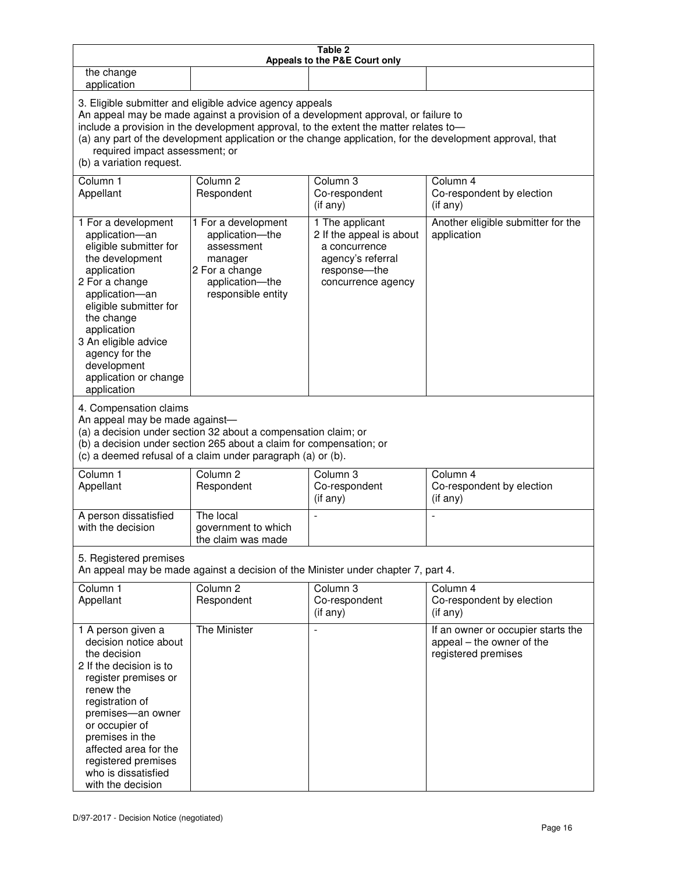| Table 2<br>Appeals to the P&E Court only                                                                                                                                                                                                                                                                                                                  |                                                                                                                                                                                                                                                                                                                                                                                        |                                                                                                                         |                                                                                        |  |
|-----------------------------------------------------------------------------------------------------------------------------------------------------------------------------------------------------------------------------------------------------------------------------------------------------------------------------------------------------------|----------------------------------------------------------------------------------------------------------------------------------------------------------------------------------------------------------------------------------------------------------------------------------------------------------------------------------------------------------------------------------------|-------------------------------------------------------------------------------------------------------------------------|----------------------------------------------------------------------------------------|--|
| the change<br>application                                                                                                                                                                                                                                                                                                                                 |                                                                                                                                                                                                                                                                                                                                                                                        |                                                                                                                         |                                                                                        |  |
| (b) a variation request.                                                                                                                                                                                                                                                                                                                                  | 3. Eligible submitter and eligible advice agency appeals<br>An appeal may be made against a provision of a development approval, or failure to<br>include a provision in the development approval, to the extent the matter relates to-<br>(a) any part of the development application or the change application, for the development approval, that<br>required impact assessment; or |                                                                                                                         |                                                                                        |  |
| Column 1<br>Appellant                                                                                                                                                                                                                                                                                                                                     | Column <sub>2</sub><br>Respondent                                                                                                                                                                                                                                                                                                                                                      | Column 3<br>Co-respondent<br>(if any)                                                                                   | Column 4<br>Co-respondent by election<br>(if any)                                      |  |
| 1 For a development<br>application-an<br>eligible submitter for<br>the development<br>application<br>2 For a change<br>application-an<br>eligible submitter for<br>the change<br>application<br>3 An eligible advice<br>agency for the<br>development<br>application or change<br>application<br>4. Compensation claims<br>An appeal may be made against- | 1 For a development<br>application-the<br>assessment<br>manager<br>2 For a change<br>application-the<br>responsible entity<br>(a) a decision under section 32 about a compensation claim; or<br>(b) a decision under section 265 about a claim for compensation; or                                                                                                                    | 1 The applicant<br>2 If the appeal is about<br>a concurrence<br>agency's referral<br>response-the<br>concurrence agency | Another eligible submitter for the<br>application                                      |  |
|                                                                                                                                                                                                                                                                                                                                                           | (c) a deemed refusal of a claim under paragraph (a) or (b).                                                                                                                                                                                                                                                                                                                            |                                                                                                                         |                                                                                        |  |
| Column 1<br>Appellant                                                                                                                                                                                                                                                                                                                                     | Column <sub>2</sub><br>Respondent                                                                                                                                                                                                                                                                                                                                                      | Column 3<br>Co-respondent<br>(if any)                                                                                   | Column 4<br>Co-respondent by election<br>(if any)                                      |  |
| A person dissatisfied<br>with the decision                                                                                                                                                                                                                                                                                                                | The local<br>government to which<br>the claim was made                                                                                                                                                                                                                                                                                                                                 |                                                                                                                         |                                                                                        |  |
| 5. Registered premises<br>An appeal may be made against a decision of the Minister under chapter 7, part 4.                                                                                                                                                                                                                                               |                                                                                                                                                                                                                                                                                                                                                                                        |                                                                                                                         |                                                                                        |  |
| Column 1<br>Appellant                                                                                                                                                                                                                                                                                                                                     | Column <sub>2</sub><br>Respondent                                                                                                                                                                                                                                                                                                                                                      | Column 3<br>Co-respondent<br>(if any)                                                                                   | Column 4<br>Co-respondent by election<br>(if any)                                      |  |
| 1 A person given a<br>decision notice about<br>the decision<br>2 If the decision is to<br>register premises or<br>renew the<br>registration of<br>premises-an owner<br>or occupier of<br>premises in the<br>affected area for the<br>registered premises<br>who is dissatisfied<br>with the decision                                                      | The Minister                                                                                                                                                                                                                                                                                                                                                                           |                                                                                                                         | If an owner or occupier starts the<br>appeal – the owner of the<br>registered premises |  |